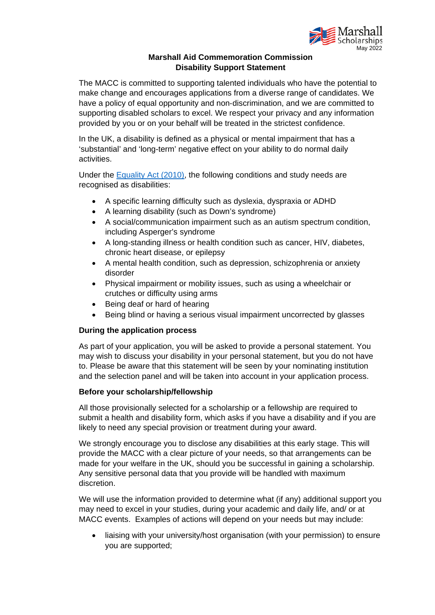

## **Marshall Aid Commemoration Commission Disability Support Statement**

The MACC is committed to supporting talented individuals who have the potential to make change and encourages applications from a diverse range of candidates. We have a policy of equal opportunity and non‐discrimination, and we are committed to supporting disabled scholars to excel. We respect your privacy and any information provided by you or on your behalf will be treated in the strictest confidence.

In the UK, a disability is defined as a physical or mental impairment that has a 'substantial' and 'long-term' negative effect on your ability to do normal daily activities.

Under the [Equality Act \(2010\),](https://www.legislation.gov.uk/ukpga/2010/15/contents) the following conditions and study needs are recognised as disabilities:

- A specific learning difficulty such as dyslexia, dyspraxia or ADHD
- A learning disability (such as Down's syndrome)
- A social/communication impairment such as an autism spectrum condition, including Asperger's syndrome
- A long-standing illness or health condition such as cancer, HIV, diabetes, chronic heart disease, or epilepsy
- A mental health condition, such as depression, schizophrenia or anxiety disorder
- Physical impairment or mobility issues, such as using a wheelchair or crutches or difficulty using arms
- Being deaf or hard of hearing
- Being blind or having a serious visual impairment uncorrected by glasses

## **During the application process**

As part of your application, you will be asked to provide a personal statement. You may wish to discuss your disability in your personal statement, but you do not have to. Please be aware that this statement will be seen by your nominating institution and the selection panel and will be taken into account in your application process.

## **Before your scholarship/fellowship**

All those provisionally selected for a scholarship or a fellowship are required to submit a health and disability form, which asks if you have a disability and if you are likely to need any special provision or treatment during your award.

We strongly encourage you to disclose any disabilities at this early stage. This will provide the MACC with a clear picture of your needs, so that arrangements can be made for your welfare in the UK, should you be successful in gaining a scholarship. Any sensitive personal data that you provide will be handled with maximum discretion.

We will use the information provided to determine what (if any) additional support you may need to excel in your studies, during your academic and daily life, and/ or at MACC events. Examples of actions will depend on your needs but may include:

liaising with your university/host organisation (with your permission) to ensure you are supported;